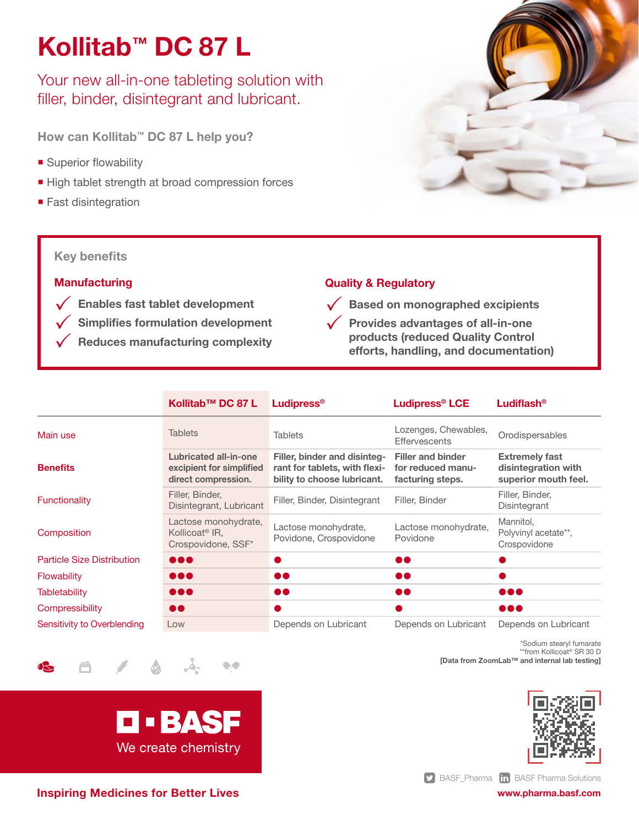# Kollitab™ DC 87 L

Your new all-in-one tableting solution with filler, binder, disintegrant and lubricant.

How can Kollitab™ DC 87 L help you?

- **Superior flowability**
- High tablet strength at broad compression forces
- Fast disintegration

# Key benefits

### **Manufacturing**

- $\sqrt{\phantom{a}}$  Enables fast tablet development
	- Simplifies formulation development
	- Reduces manufacturing complexity

# Quality & Regulatory



 $\sqrt{\phantom{a}}$  Provides advantages of all-in-one products (reduced Quality Control efforts, handling, and documentation)

|                                   | Kollitab™ DC 87 L                                                               | Ludipress®                                                                                   | <b>Ludipress<sup>®</sup> LCE</b>                                  | Ludiflash <sup>®</sup>                                               |
|-----------------------------------|---------------------------------------------------------------------------------|----------------------------------------------------------------------------------------------|-------------------------------------------------------------------|----------------------------------------------------------------------|
| Main use                          | <b>Tablets</b>                                                                  | <b>Tablets</b>                                                                               | Lozenges, Chewables,<br><b>Effervescents</b>                      | Orodispersables                                                      |
| <b>Benefits</b>                   | <b>Lubricated all-in-one</b><br>excipient for simplified<br>direct compression. | Filler, binder and disinteg-<br>rant for tablets, with flexi-<br>bility to choose lubricant. | <b>Filler and binder</b><br>for reduced manu-<br>facturing steps. | <b>Extremely fast</b><br>disintegration with<br>superior mouth feel. |
| Functionality                     | Filler, Binder,<br>Disintegrant, Lubricant                                      | Filler, Binder, Disintegrant                                                                 | Filler, Binder                                                    | Filler, Binder,<br>Disintegrant                                      |
| Composition                       | Lactose monohydrate,<br>Kollicoat <sup>®</sup> IR.<br>Crospovidone, SSF*        | Lactose monohydrate,<br>Povidone, Crospovidone                                               | Lactose monohydrate,<br>Povidone                                  | Mannitol.<br>Polyvinyl acetate**.<br>Crospovidone                    |
| <b>Particle Size Distribution</b> | $\bullet\bullet\bullet$                                                         | a,                                                                                           | $\bullet\bullet$                                                  |                                                                      |
| <b>Flowability</b>                | $\bullet\bullet\bullet$                                                         | $\bullet\bullet$                                                                             | $\bullet\bullet$                                                  |                                                                      |
| <b>Tabletability</b>              |                                                                                 | $\bullet\bullet$                                                                             | 60                                                                |                                                                      |
| Compressibility                   | $\bullet\bullet$                                                                |                                                                                              |                                                                   | $\bullet\bullet\bullet$                                              |
| Sensitivity to Overblending       | Low                                                                             | Depends on Lubricant                                                                         | Depends on Lubricant                                              | Depends on Lubricant                                                 |

\*Sodium stearyl fumarate \*\*from Kollicoat® SR 30 D

[Data from ZoomLab™ and internal lab testing]



Inspiring Medicines for Better Lives

**D-BASF** 

We create chemistry

 $\bullet$ 

**S** [BASF\\_Pharma](https://twitter.com/basf_pharma) **in** [BASF Pharma Solutions](https://linkedin.com/showcase/basf-pharma-solutions)

[www.pharma.basf.com](https://pharma.basf.com/)